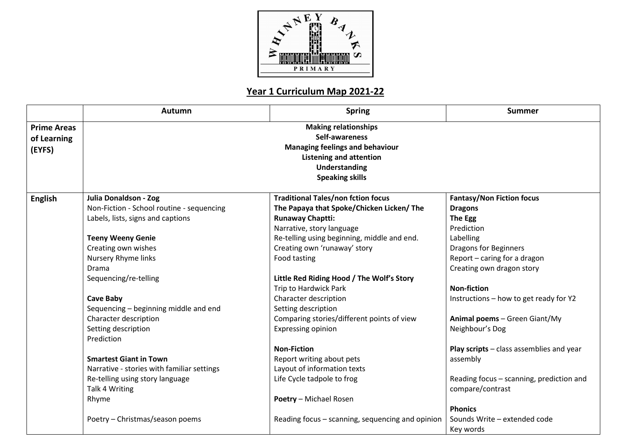

## **Year 1 Curriculum Map 2021-22**

|                                             | <b>Autumn</b>                                                                                                                                                        | <b>Spring</b>                                    | <b>Summer</b>                            |  |
|---------------------------------------------|----------------------------------------------------------------------------------------------------------------------------------------------------------------------|--------------------------------------------------|------------------------------------------|--|
| <b>Prime Areas</b><br>of Learning<br>(EYFS) | <b>Making relationships</b><br>Self-awareness<br><b>Managing feelings and behaviour</b><br><b>Listening and attention</b><br>Understanding<br><b>Speaking skills</b> |                                                  |                                          |  |
| <b>English</b>                              | Julia Donaldson - Zog                                                                                                                                                | <b>Traditional Tales/non fction focus</b>        | <b>Fantasy/Non Fiction focus</b>         |  |
|                                             | Non-Fiction - School routine - sequencing                                                                                                                            | The Papaya that Spoke/Chicken Licken/ The        | <b>Dragons</b>                           |  |
|                                             | Labels, lists, signs and captions                                                                                                                                    | <b>Runaway Chaptti:</b>                          | The Egg                                  |  |
|                                             |                                                                                                                                                                      | Narrative, story language                        | Prediction                               |  |
|                                             | <b>Teeny Weeny Genie</b>                                                                                                                                             | Re-telling using beginning, middle and end.      | Labelling                                |  |
|                                             | Creating own wishes                                                                                                                                                  | Creating own 'runaway' story                     | <b>Dragons for Beginners</b>             |  |
|                                             | Nursery Rhyme links                                                                                                                                                  | Food tasting                                     | Report - caring for a dragon             |  |
|                                             | Drama                                                                                                                                                                |                                                  | Creating own dragon story                |  |
|                                             | Sequencing/re-telling                                                                                                                                                | Little Red Riding Hood / The Wolf's Story        |                                          |  |
|                                             |                                                                                                                                                                      | Trip to Hardwick Park                            | <b>Non-fiction</b>                       |  |
|                                             | <b>Cave Baby</b>                                                                                                                                                     | Character description                            | Instructions - how to get ready for Y2   |  |
|                                             | Sequencing - beginning middle and end                                                                                                                                | Setting description                              |                                          |  |
|                                             | Character description                                                                                                                                                | Comparing stories/different points of view       | Animal poems - Green Giant/My            |  |
|                                             | Setting description                                                                                                                                                  | <b>Expressing opinion</b>                        | Neighbour's Dog                          |  |
|                                             | Prediction                                                                                                                                                           |                                                  |                                          |  |
|                                             |                                                                                                                                                                      | <b>Non-Fiction</b>                               | Play scripts - class assemblies and year |  |
|                                             | <b>Smartest Giant in Town</b>                                                                                                                                        | Report writing about pets                        | assembly                                 |  |
|                                             | Narrative - stories with familiar settings                                                                                                                           | Layout of information texts                      |                                          |  |
|                                             | Re-telling using story language                                                                                                                                      | Life Cycle tadpole to frog                       | Reading focus - scanning, prediction and |  |
|                                             | Talk 4 Writing                                                                                                                                                       |                                                  | compare/contrast                         |  |
|                                             | Rhyme                                                                                                                                                                | Poetry - Michael Rosen                           |                                          |  |
|                                             |                                                                                                                                                                      |                                                  | <b>Phonics</b>                           |  |
|                                             | Poetry - Christmas/season poems                                                                                                                                      | Reading focus – scanning, sequencing and opinion | Sounds Write - extended code             |  |
|                                             |                                                                                                                                                                      |                                                  | Key words                                |  |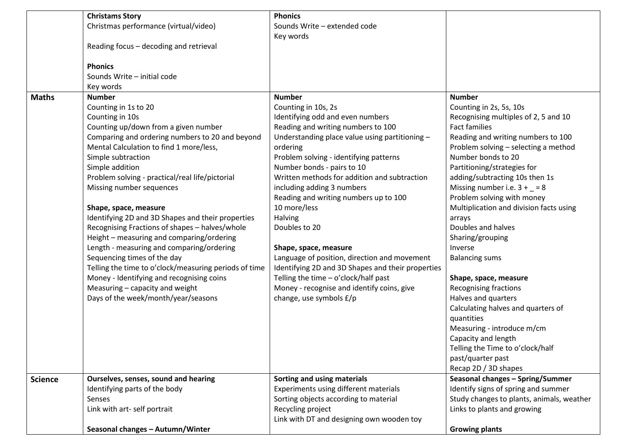|                | <b>Christams Story</b>                                | <b>Phonics</b>                                    |                                           |
|----------------|-------------------------------------------------------|---------------------------------------------------|-------------------------------------------|
|                | Christmas performance (virtual/video)                 | Sounds Write - extended code                      |                                           |
|                |                                                       | Key words                                         |                                           |
|                | Reading focus - decoding and retrieval                |                                                   |                                           |
|                | <b>Phonics</b>                                        |                                                   |                                           |
|                | Sounds Write - initial code                           |                                                   |                                           |
|                | Key words                                             |                                                   |                                           |
| <b>Maths</b>   | <b>Number</b>                                         | <b>Number</b>                                     | <b>Number</b>                             |
|                | Counting in 1s to 20                                  | Counting in 10s, 2s                               | Counting in 2s, 5s, 10s                   |
|                | Counting in 10s                                       | Identifying odd and even numbers                  | Recognising multiples of 2, 5 and 10      |
|                | Counting up/down from a given number                  | Reading and writing numbers to 100                | <b>Fact families</b>                      |
|                | Comparing and ordering numbers to 20 and beyond       | Understanding place value using partitioning -    | Reading and writing numbers to 100        |
|                | Mental Calculation to find 1 more/less,               | ordering                                          | Problem solving - selecting a method      |
|                | Simple subtraction                                    | Problem solving - identifying patterns            | Number bonds to 20                        |
|                | Simple addition                                       | Number bonds - pairs to 10                        | Partitioning/strategies for               |
|                | Problem solving - practical/real life/pictorial       | Written methods for addition and subtraction      | adding/subtracting 10s then 1s            |
|                | Missing number sequences                              | including adding 3 numbers                        | Missing number i.e. $3 + 8$               |
|                |                                                       | Reading and writing numbers up to 100             | Problem solving with money                |
|                | Shape, space, measure                                 | 10 more/less                                      | Multiplication and division facts using   |
|                | Identifying 2D and 3D Shapes and their properties     | Halving                                           | arrays                                    |
|                | Recognising Fractions of shapes - halves/whole        | Doubles to 20                                     | Doubles and halves                        |
|                | Height - measuring and comparing/ordering             |                                                   | Sharing/grouping                          |
|                | Length - measuring and comparing/ordering             | Shape, space, measure                             | Inverse                                   |
|                | Sequencing times of the day                           | Language of position, direction and movement      | <b>Balancing sums</b>                     |
|                | Telling the time to o'clock/measuring periods of time | Identifying 2D and 3D Shapes and their properties |                                           |
|                | Money - Identifying and recognising coins             | Telling the time - o'clock/half past              | Shape, space, measure                     |
|                | Measuring - capacity and weight                       | Money - recognise and identify coins, give        | <b>Recognising fractions</b>              |
|                | Days of the week/month/year/seasons                   | change, use symbols £/p                           | Halves and quarters                       |
|                |                                                       |                                                   | Calculating halves and quarters of        |
|                |                                                       |                                                   | quantities                                |
|                |                                                       |                                                   | Measuring - introduce m/cm                |
|                |                                                       |                                                   | Capacity and length                       |
|                |                                                       |                                                   | Telling the Time to o'clock/half          |
|                |                                                       |                                                   | past/quarter past                         |
|                |                                                       |                                                   | Recap 2D / 3D shapes                      |
| <b>Science</b> | Ourselves, senses, sound and hearing                  | Sorting and using materials                       | Seasonal changes - Spring/Summer          |
|                | Identifying parts of the body                         | Experiments using different materials             | Identify signs of spring and summer       |
|                | Senses                                                | Sorting objects according to material             | Study changes to plants, animals, weather |
|                | Link with art- self portrait                          | Recycling project                                 | Links to plants and growing               |
|                |                                                       | Link with DT and designing own wooden toy         |                                           |
|                | Seasonal changes - Autumn/Winter                      |                                                   | <b>Growing plants</b>                     |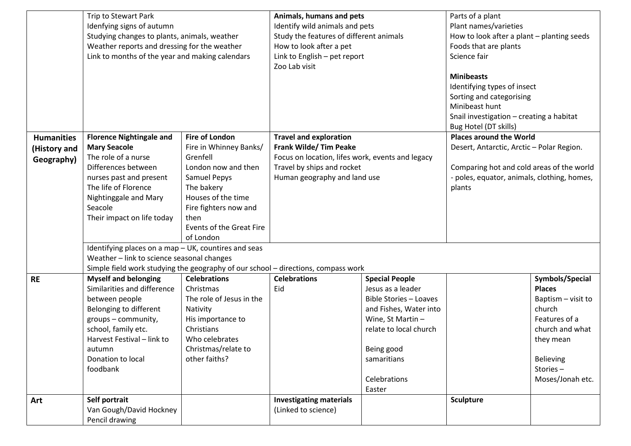|                   | Trip to Stewart Park<br>Idenfying signs of autumn                                 |                                 | Animals, humans and pets<br>Identify wild animals and pets |                               | Parts of a plant                                                                    |                    |
|-------------------|-----------------------------------------------------------------------------------|---------------------------------|------------------------------------------------------------|-------------------------------|-------------------------------------------------------------------------------------|--------------------|
|                   |                                                                                   |                                 |                                                            |                               | Plant names/varieties                                                               |                    |
|                   | Studying changes to plants, animals, weather                                      |                                 | Study the features of different animals                    |                               | How to look after a plant - planting seeds                                          |                    |
|                   | Weather reports and dressing for the weather                                      |                                 | How to look after a pet                                    |                               | Foods that are plants                                                               |                    |
|                   | Link to months of the year and making calendars                                   |                                 | Link to English - pet report                               |                               | Science fair                                                                        |                    |
|                   |                                                                                   |                                 | Zoo Lab visit                                              |                               |                                                                                     |                    |
|                   |                                                                                   |                                 |                                                            |                               | <b>Minibeasts</b>                                                                   |                    |
|                   |                                                                                   |                                 |                                                            |                               | Identifying types of insect<br>Sorting and categorising                             |                    |
|                   |                                                                                   |                                 |                                                            |                               |                                                                                     |                    |
|                   |                                                                                   |                                 |                                                            |                               | Minibeast hunt<br>Snail investigation - creating a habitat<br>Bug Hotel (DT skills) |                    |
|                   |                                                                                   |                                 |                                                            |                               |                                                                                     |                    |
|                   |                                                                                   |                                 |                                                            |                               |                                                                                     |                    |
| <b>Humanities</b> | <b>Florence Nightingale and</b>                                                   | <b>Fire of London</b>           | <b>Travel and exploration</b>                              |                               | <b>Places around the World</b>                                                      |                    |
| (History and      | <b>Mary Seacole</b>                                                               | Fire in Whinney Banks/          | <b>Frank Wilde/Tim Peake</b>                               |                               | Desert, Antarctic, Arctic - Polar Region.                                           |                    |
| Geography)        | The role of a nurse                                                               | Grenfell                        | Focus on location, lifes work, events and legacy           |                               |                                                                                     |                    |
|                   | Differences between                                                               | London now and then             | Travel by ships and rocket                                 |                               | Comparing hot and cold areas of the world                                           |                    |
|                   | nurses past and present                                                           | Samuel Pepys                    | Human geography and land use                               |                               | - poles, equator, animals, clothing, homes,                                         |                    |
|                   | The life of Florence                                                              | The bakery                      |                                                            |                               | plants                                                                              |                    |
|                   | Nightinggale and Mary                                                             | Houses of the time              |                                                            |                               |                                                                                     |                    |
|                   | Seacole                                                                           | Fire fighters now and           |                                                            |                               |                                                                                     |                    |
|                   | Their impact on life today                                                        | then                            |                                                            |                               |                                                                                     |                    |
|                   |                                                                                   | <b>Events of the Great Fire</b> |                                                            |                               |                                                                                     |                    |
|                   |                                                                                   | of London                       |                                                            |                               |                                                                                     |                    |
|                   | Identifying places on a map - UK, countires and seas                              |                                 |                                                            |                               |                                                                                     |                    |
|                   | Weather - link to science seasonal changes                                        |                                 |                                                            |                               |                                                                                     |                    |
|                   | Simple field work studying the geography of our school - directions, compass work |                                 |                                                            |                               |                                                                                     |                    |
| <b>RE</b>         | <b>Myself and belonging</b>                                                       | <b>Celebrations</b>             | <b>Celebrations</b>                                        | <b>Special People</b>         |                                                                                     | Symbols/Special    |
|                   | Similarities and difference                                                       | Christmas                       | Eid                                                        | Jesus as a leader             |                                                                                     | <b>Places</b>      |
|                   | between people                                                                    | The role of Jesus in the        |                                                            | <b>Bible Stories - Loaves</b> |                                                                                     | Baptism - visit to |
|                   | Belonging to different                                                            | Nativity                        |                                                            | and Fishes, Water into        |                                                                                     | church             |
|                   | groups - community,                                                               | His importance to               |                                                            | Wine, St Martin -             |                                                                                     | Features of a      |
|                   | school, family etc.                                                               | Christians                      |                                                            | relate to local church        |                                                                                     | church and what    |
|                   | Harvest Festival - link to                                                        | Who celebrates                  |                                                            |                               |                                                                                     | they mean          |
|                   | autumn                                                                            | Christmas/relate to             |                                                            | Being good                    |                                                                                     |                    |
|                   | Donation to local                                                                 | other faiths?                   |                                                            | samaritians                   |                                                                                     | Believing          |
|                   | foodbank                                                                          |                                 |                                                            |                               |                                                                                     | Stories-           |
|                   |                                                                                   |                                 |                                                            | Celebrations                  |                                                                                     | Moses/Jonah etc.   |
|                   |                                                                                   |                                 |                                                            | Easter                        |                                                                                     |                    |
| Art               | Self portrait                                                                     |                                 | <b>Investigating materials</b>                             |                               | <b>Sculpture</b>                                                                    |                    |
|                   | Van Gough/David Hockney                                                           |                                 | (Linked to science)                                        |                               |                                                                                     |                    |
|                   | Pencil drawing                                                                    |                                 |                                                            |                               |                                                                                     |                    |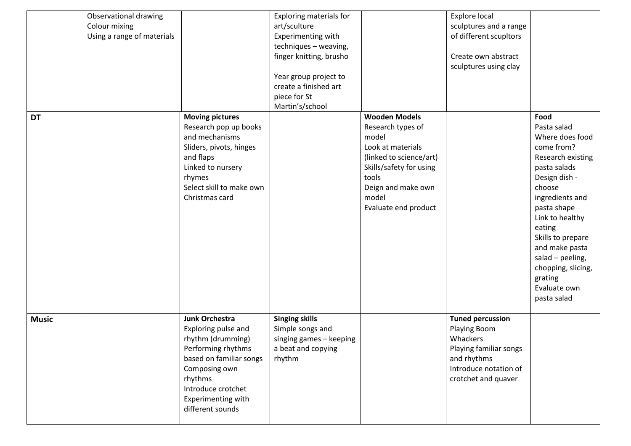|              | Observational drawing<br>Colour mixing<br>Using a range of materials |                                                                                                                                                                                                                | <b>Exploring materials for</b><br>art/sculture<br>Experimenting with<br>techniques - weaving,<br>finger knitting, brusho<br>Year group project to<br>create a finished art<br>piece for St<br>Martin's/school |                                                                                                                                                                                               | Explore local<br>sculptures and a range<br>of different scupltors<br>Create own abstract<br>sculptures using clay                            |                                                                                                                                                                                                                                                                                                                |
|--------------|----------------------------------------------------------------------|----------------------------------------------------------------------------------------------------------------------------------------------------------------------------------------------------------------|---------------------------------------------------------------------------------------------------------------------------------------------------------------------------------------------------------------|-----------------------------------------------------------------------------------------------------------------------------------------------------------------------------------------------|----------------------------------------------------------------------------------------------------------------------------------------------|----------------------------------------------------------------------------------------------------------------------------------------------------------------------------------------------------------------------------------------------------------------------------------------------------------------|
| <b>DT</b>    |                                                                      | <b>Moving pictures</b><br>Research pop up books<br>and mechanisms<br>Sliders, pivots, hinges<br>and flaps<br>Linked to nursery<br>rhymes<br>Select skill to make own<br>Christmas card                         |                                                                                                                                                                                                               | <b>Wooden Models</b><br>Research types of<br>model<br>Look at materials<br>(linked to science/art)<br>Skills/safety for using<br>tools<br>Deign and make own<br>model<br>Evaluate end product |                                                                                                                                              | Food<br>Pasta salad<br>Where does food<br>come from?<br>Research existing<br>pasta salads<br>Design dish -<br>choose<br>ingredients and<br>pasta shape<br>Link to healthy<br>eating<br>Skills to prepare<br>and make pasta<br>salad - peeling,<br>chopping, slicing,<br>grating<br>Evaluate own<br>pasta salad |
| <b>Music</b> |                                                                      | <b>Junk Orchestra</b><br>Exploring pulse and<br>rhythm (drumming)<br>Performing rhythms<br>based on familiar songs<br>Composing own<br>rhythms<br>Introduce crotchet<br>Experimenting with<br>different sounds | <b>Singing skills</b><br>Simple songs and<br>singing games - keeping<br>a beat and copying<br>rhythm                                                                                                          |                                                                                                                                                                                               | <b>Tuned percussion</b><br>Playing Boom<br>Whackers<br>Playing familiar songs<br>and rhythms<br>Introduce notation of<br>crotchet and quaver |                                                                                                                                                                                                                                                                                                                |